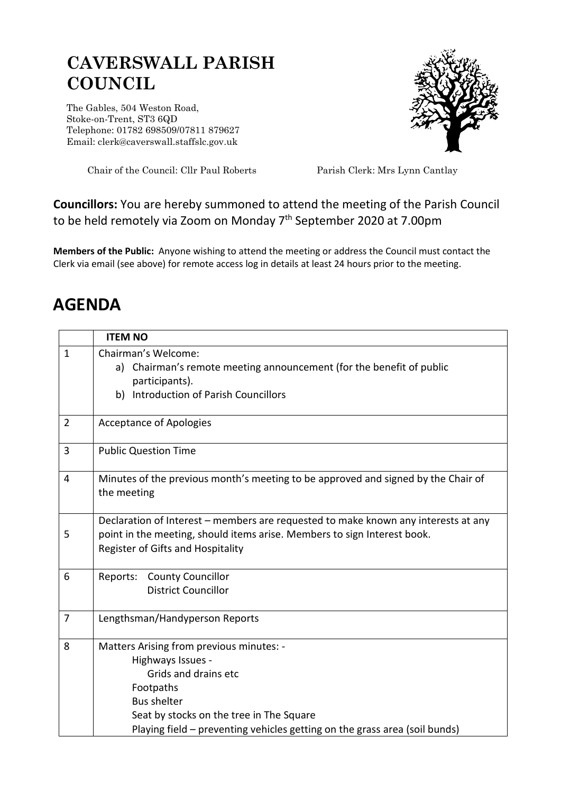## **CAVERSWALL PARISH COUNCIL**

The Gables, 504 Weston Road, Stoke-on-Trent, ST3 6QD Telephone: 01782 698509/07811 879627 Email: clerk@caverswall.staffslc.gov.uk



Chair of the Council: Cllr Paul Roberts Parish Clerk: Mrs Lynn Cantlay

## **Councillors:** You are hereby summoned to attend the meeting of the Parish Council to be held remotely via Zoom on Monday 7<sup>th</sup> September 2020 at 7.00pm

**Members of the Public:** Anyone wishing to attend the meeting or address the Council must contact the Clerk via email (see above) for remote access log in details at least 24 hours prior to the meeting.

## **AGENDA**

|                | <b>ITEM NO</b>                                                                                                                                                                                                                                     |
|----------------|----------------------------------------------------------------------------------------------------------------------------------------------------------------------------------------------------------------------------------------------------|
| $\mathbf{1}$   | Chairman's Welcome:<br>Chairman's remote meeting announcement (for the benefit of public<br>a)<br>participants).<br><b>Introduction of Parish Councillors</b><br>b)                                                                                |
| $\overline{2}$ | <b>Acceptance of Apologies</b>                                                                                                                                                                                                                     |
| 3              | <b>Public Question Time</b>                                                                                                                                                                                                                        |
| $\overline{4}$ | Minutes of the previous month's meeting to be approved and signed by the Chair of<br>the meeting                                                                                                                                                   |
| 5              | Declaration of Interest – members are requested to make known any interests at any<br>point in the meeting, should items arise. Members to sign Interest book.<br>Register of Gifts and Hospitality                                                |
| 6              | <b>County Councillor</b><br>Reports:<br><b>District Councillor</b>                                                                                                                                                                                 |
| $\overline{7}$ | Lengthsman/Handyperson Reports                                                                                                                                                                                                                     |
| 8              | Matters Arising from previous minutes: -<br>Highways Issues -<br>Grids and drains etc<br>Footpaths<br><b>Bus shelter</b><br>Seat by stocks on the tree in The Square<br>Playing field – preventing vehicles getting on the grass area (soil bunds) |